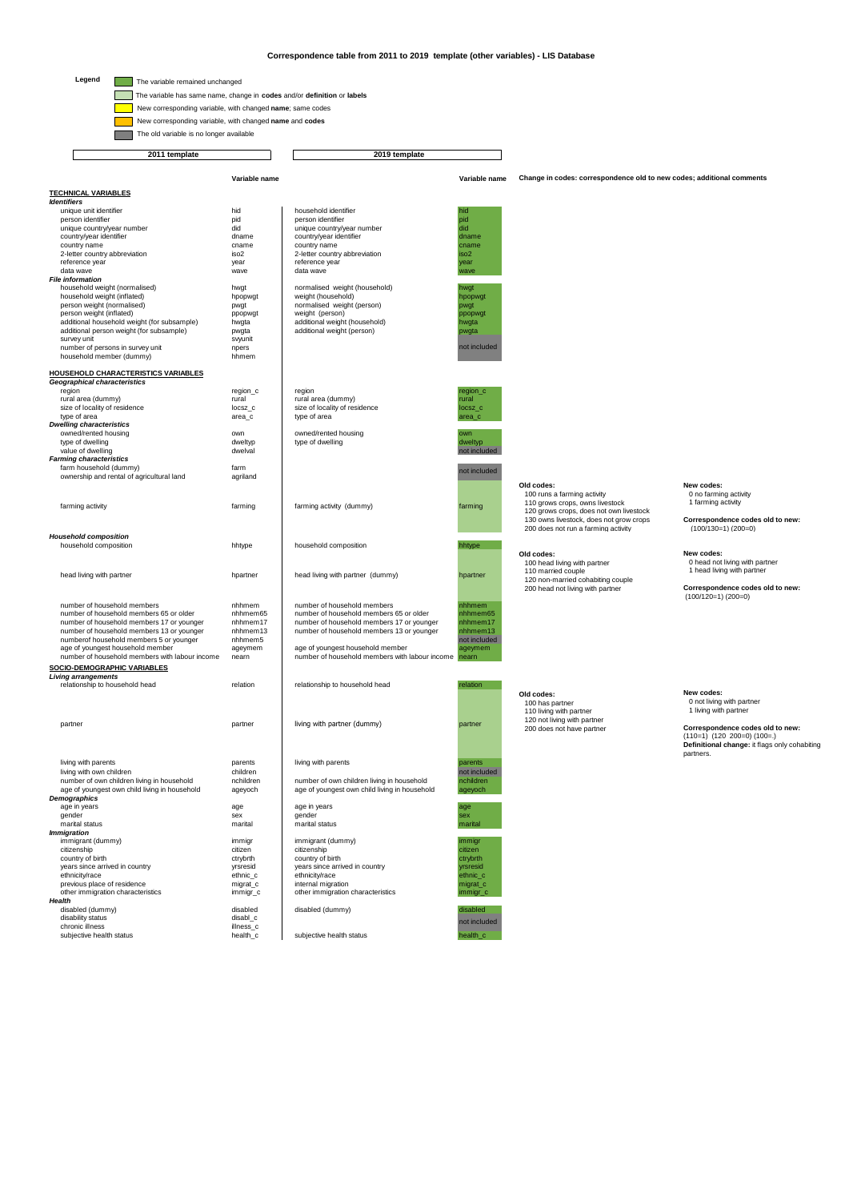## **Correspondence table from 2011 to 2019 template (other variables) - LIS Database**

Legend  $\Box$  The variable remained unchanged

The variable has same name, change in **codes** and/or **definition** or **labels**

New corresponding variable, with changed **name**; same codes

Г New corresponding variable, with changed **name** and **codes**

The old variable is no longer available

 **2011 template 2019 template**

**Variable name Variable name TECHNICAL VARIABLES** *Identifiers*<br>unique unit identifier hid hid household identifier hid household identifier person identifier pid person identifier pid unique country/year number did unique country/year number did country/year identifier dname country/year identifier dname country name country name country name country name cause of chame country abbreviation cname cause of cname c<br>
2-letter country abbreviation iso2 2-letter country abbreviation iso2 2-letter country abbreviation iso2 2-letter country abbreviation iso2 2-letter country abbreviation reference year reference year year year year reference year and the settlement of the settlement of the settlement of the settlement of the settlement of the settlement of the settlement of the settlement of the settlement of the settlem data wave wave data wave wave *File information* household weight (normalised) hwgt hwgt normalised weight (household) hwgt hwgt<br>household weight (inflated) hpopwgt household bousehold by hpopwgt<br>person weight (normalised) pwgt pwgt pwgt normalised weight (person) person weight (inflated) ppopwgt weight (person) ppopwgt additional household weight (for subsample)<br>additional household weight (for subsample) hwgta additional weight (household) hwgta additional weight (household) have additional weight (household member (dummy) here are also additional person weight (for subsample) survey unit<br>number of persons in survey unit https://www.markin.com/markin.com/markin.com/markin.com<br>hhmem hhmem (dummy) **HOUSEHOLD CHARACTERISTICS VARIABLES** *Geographical characteristics* region region\_c region region\_c rural area (dummy) rural rural area (dummy) rural size of locality of residence locsz\_c size of locality of residence locsz\_c type of area area\_c type of area area\_c *Dwelling characteristics* owned/rented housing own owned/rented housing own<br>howed/rented housing over of the object of the computational of the computational of the computational of the<br>computational of the computational of the computational of the type of dwelling dweltyp dweltyp dweltyp dweltyp dweltyp dweltyp dweltyp dweltyp dweltyp dweltyp dweltyp dweltyp dweltyp dweltyp dweltyp dweltyp dweltyp dweltyp dweltyp dweltyp dweltyp dweltyp dweltyp dweltyp dweltyp dwelt value of dwelling dwelval<br> **Farming characteristics**<br>
farm household (dummy) farm farm ounership and rental of agricultural land agriland over a set and accounting the state of a set and agricultural land agricultural and farming activity farming farming activity (dummy) farming **Old codes:** 100 runs a farming activity 110 grows crops, owns livestock 120 grows crops, does not own livestock 130 owns livestock, does not grow crops 200 does not run a farming activity **New codes:**  0 no farming activity 1 farming activity **Correspondence codes old to new:** (100/130=1) (200=0) *Household composition* household composition hhtype household composition hhtype head living with partner hpartner head living with partner (dummy) hpartner **Old codes:**  100 head living with partner 110 married couple 120 non-married cohabiting couple 200 head not living with partner **New codes:**  0 head not living with partner 1 head living with partner **Correspondence codes old to new:** (100/120=1) (200=0) number of household members number of household members nhhmem number of household members of household member<br>In household members 65 or older nhhmem65 number of household members 65 or older nhhmem65 numbers 65 or older number of household members 17 or younger nhhmem17 number of household members 17 or younger number of household members 13 or younger number of household members 13 or younger number of household members 13 or younger<br>nhhmem13 number of household members 13 or younger numberof household members 5 or younger nath mems<br>age of youngest household member and an and the same of youngest household member and the member and the membe<br>humber of household members with labour income nearn and numb **SOCIO-DEMOGRAPHIC VARIABLES** *Living arrangements* relationship to household head relation relationship to household head relation partner and partner partner living with partner (dummy) partner partner **Old codes:** 100 has partner 110 living with partner 120 not living with partner 200 does not have partner **New codes:**  0 not living with partner 1 living with partner **Correspondence codes old to new:** (110=1) (120 200=0) (100=.) **Definitional change:** it flags only cohabiting partners. living with parents parents parents living with parents parents parents parents parents parents parents parents<br>living with own children not included number of own children living in household and a hohildren a mumber of own children living in household a nchildren<br>age of youngest own child living in household ageyoch age of youngest own child living in household ageyoc *Demographics*<br>age in years age in years age in years age in years age in years age in years age in years age in years age in years age in the set of the set of the set of the set of the set of the set of the set of the set of the set of the set of t gender sex gender sex gender sex gender sex gender sex gender sex gender sex gender sex gender sex gender sex gender sex gender sex gender sex gender sex gender sex gender sex gender sex gender sex gender sex gender sex ge marital status marital marital status marital Immigration<br>**Immigration**<br>immigrant (dummy) immigrant (dummy) immigrant (dummy) immigrant (dummy) immigrant (dummy)<br>childrenship immigrant (dummy) in the childrenship country of birth<br>country of birth immigrant (dummy) in the country of birth in the country of birth citizenship citizen citizenship citizen country of birth ctrybrth country of birth ctrybrth years since arrived in country vrstesid years since arrived in country vrstesid yrsresid<br>ethnicity/race ethnic\_c ethnic\_c ethnicity/race ethnicity/race ethnicity/race previous place of residence migrat\_c internal migration migration migration migration migrat\_c<br>other immigration characteristics immigr\_c other immigration characteristics immigration immigr *Health*  disabled (dummy) disabled disabled (dummy) disabled disability status disabil $\lfloor$ chronic illness disability status disability status disability status disability status disability status disability status disability status disability status disability status disability sta chronic illness<br>subjective health status<br>subjective health status<br>bealth c subjective health status **Change in codes: correspondence old to new codes; additional comments** nt include not included nt include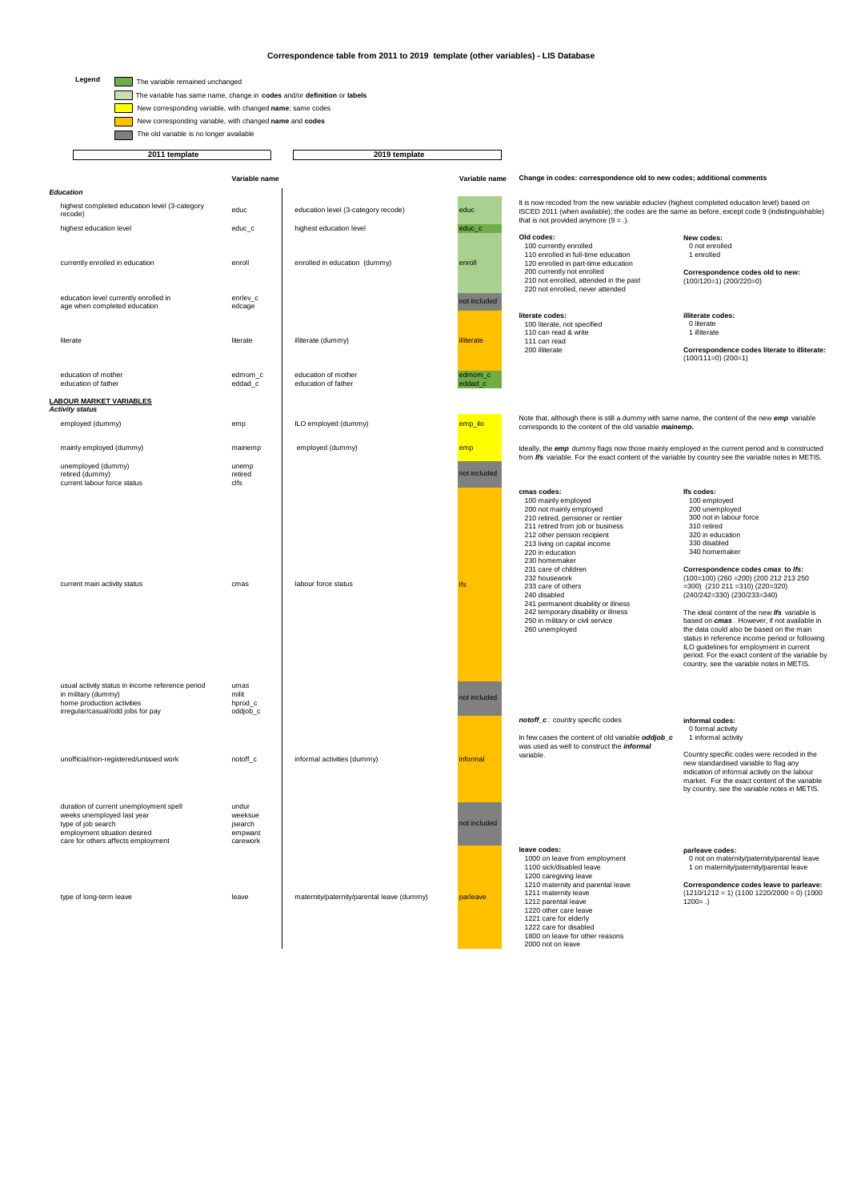## **Correspondence table from 2011 to 2019 template (other variables) - LIS Database**

#### Legend  $\Box$  The variable remained unchanged

The variable has same name, change in **codes** and/or **definition** or **labels**

New corresponding variable, with changed **name**; same codes

Г

 New corresponding variable, with changed **name** and **codes** The old variable is no longer available

**Variable name Variable name Change in codes: correspondence old to new codes; additional comments 2011 template** 2019 template *Education* educ education level (3-category recode) educ highest education level educ control educ control education level education level education level educ control educ currently enrolled in education enroll enrolled in education (dummy) enroll **Old codes:** 100 currently enrolled 110 enrolled in full-time education 120 enrolled in part-time education 200 currently not enrolled 210 not enrolled, attended in the past 220 not enrolled, never attended **New codes:**  0 not enrolled 1 enrolled **Correspondence codes old to new:** (100/120=1) (200/220=0) education level currently enrolled in enrlev\_c<br>age when completed education entitled education age when completed education literate illiterate (dummy) illiterate illiterate **literate codes:** 100 literate, not specified 110 can read & write 111 can read 200 illiterate **illiterate codes:**  o literate<br>O literate o illerate<br>1 illiterate **Correspondence codes literate to illiterate:** (100/111=0) (200=1) education of mother edmom\_c education of mother edmom\_c education of father equation of father education of father education of father education of father education of father education of father education of father education of father education of father education of father edu **LABOUR MARKET VARIABLES** *Activity status* employed (dummy) emp ILO employed (dummy) emp\_ilo mainly employed (dummy) mainemp employed (dummy) employed (dummy) unemployed (dummy) unemployed (dummy) unemployed (dummy) retired (dummy) retired current labour force status clfs current main activity status contraction of the contraction of the contraction of the labour force status **cmas codes:** 100 mainly employed 200 not mainly employed 210 retired, pensioner or rentier 211 retired from job or business 212 other pension recipient 213 living on capital income 220 in education 230 homemaker 231 care of children 232 housework 233 care of others 240 disabled 241 permanent disability or illness 242 temporary disability or illness 250 in military or civil service 260 unemployed **lfs codes:** 100 employed 200 unemployed 300 not in labour force 310 retired 320 in education 330 disabled 340 homemaker **Correspondence codes** *cmas* **to** *lfs:* (100=100) (260 =200) (200 212 213 250 =300) (210 211 =310) (220=320) (240/242=330) (230/233=340) The ideal content of the new *Ifs* variable is<br>based on *cmas* . However, if not available in<br>the data could also be based on the main status in reference income period or following ILO guidelines for employment in current period. For the exact content of the variable by country, see the variable notes in METIS. usual activity status in income reference period umas<br>in military (dummy) in military (dummy) milit<br>home production activities borod of home production activities hproduction activities hproduction and hproduction and health and health of the books of the production of the production of the production of the production of the production of the production o noddomon dommoo<br>ar/casual/odd jobs for pay unofficial/non-registered/untaxed work notoff\_c informal activities (dummy) informal activities (dummy) informal *notoff\_c :* country specific codes In few cases the content of old variable *oddjob\_c*  was used as well to construct the *informal*  variable. **informal codes:** 0 formal activity 1 informal activity Country specific codes were recoded in the new standardised variable to flag any indication of informal activity on the labour market. For the exact content of the variable by country, see the variable notes in METIS. duration of current unemployment spell undur weeks unemployed last year the spectrum of the spectrum of the spectrum of the spectrum of the spectrum of the spectrum of the spectrum of the spectrum of the spectrum of the sp weeks unemployed last year weeksue<br>type of job search in the situation of isomethic situation desired empwant<br>care for others affects employment carework<br>carework type of long-term leave leave leave maternity/paternity/parental leave (dummy) **leave codes:** 1000 on leave from employment 1100 sick/disabled leave 1200 caregiving leave 1210 maternity and parental leave 1211 maternity leave 1212 parental leave 1220 other care leave 1221 care for elderly 1221 care for disabled 1800 on leave for other reasons 2000 not on leave **parleave codes:**  0 not on maternity/paternity/parental leave 1 on maternity/paternity/parental leave **Correspondence codes leave to parleave:** (1210/1212 = 1) (1100 1220/2000 = 0) (1000  $1200 = .$ Note that, although there is still a dummy with same name, the content of the new *emp* variable corresponds to the content of the old variable *mainemp.*  Ideally, the *emp* dummy flags now those mainly employed in the current period and is constructed from *lfs* variable. For the exact content of the variable by country see the variable notes in METIS. It is now recoded from the new variable educlev (highest completed education level) based on<br>ISCED 2011 (when available); the codes are the same as before, except code 9 (indistinguishable)<br>that is not provided anymore (9 not included not included not included not included highest completed education level (3-category<br>recode) .<br>code)